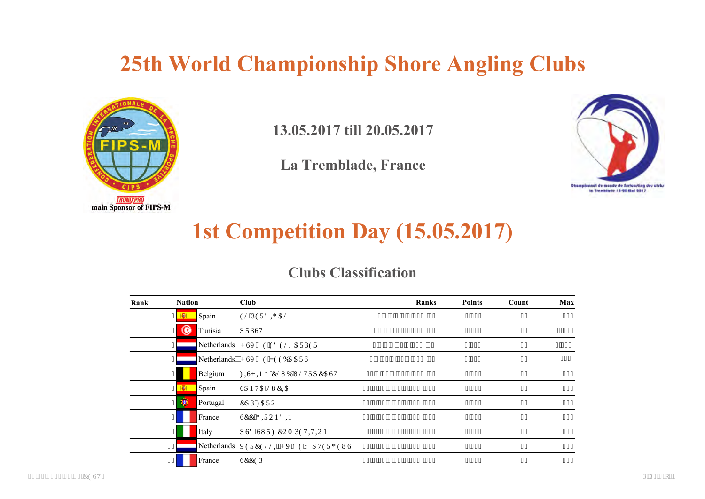### **25th World Championship Shore Angling Clubs**



**13.05.2017 till 20.05.2017**

**La Tremblade, France**



## **1st Competition Day (15.05.2017)**

#### **Clubs Classification**

| Rank | <b>Nation</b>      |          | <b>Club</b>                             | <b>Ranks</b>                 | <b>Points</b> | Count | Max   |
|------|--------------------|----------|-----------------------------------------|------------------------------|---------------|-------|-------|
|      | $3$ $\overline{N}$ | Spain    | <b>GN'RGTF K CN</b>                     | $4$ "- ": "- "; "- "37"? "56 | $:$ ": 45     | 63    | 757   |
|      | G<br>$\vert$       | Tunisia  | <b>CTRUV</b>                            | 6"- "9"- "36"- "48"? "73     | 9'262         | 4:    | 3'429 |
|      | 51                 |          | Netherlands""J UX'F G'GF GNMCTRGT       | 3"- "7"- "4: "- "56"? "8:    | 8'46:         | 52    | 3'666 |
|      | 6                  |          | Netherlands""J UX'FG'\ GGDCCTU          | 8"- "3: "- "42"- "49"? "93   | 7'979         | 54    | 845   |
|      | $\overline{7}$     | Belgium  | HKU KPI 'ENWD'WNVTCECUV                 | 32"- "3; "- "43"- "69"?"; 9  | 6'559         | 46    | 892   |
|      | $8 - \overline{6}$ | Spain    | <b>UCP VC'NWEIC</b>                     | 38"- "45"- "4; "- "74"? "342 | 7'429         | 56    | 6; 7  |
|      | 瀏<br>9             | Portugal | <b>ECR'HCTQ</b>                         | 33"- "34"- "72"- "7: "? "353 | 7'293         | 47    | 679   |
|      | $\mathbf{E}$       | France   | <b>UEE'I KTQPFIP</b>                    | 39"- "5: "- "63"- "72"? "368 | 5'564         | 39    | 845   |
|      | $\mathbf{H}$       | Italy    | <b>CUF 'UWTH'EQO RGVKVKQP</b>           | 5"- "47"- "86"- "88"? "37:   | 5'869         | 3:    | 942   |
|      | 32 <sup>1</sup>    |          | Netherlands XGTEGNNKIJ X'FG'Y CVGTI GWU | 46"- "52"- "66"- "83"? "37;  | 4'64:         | 42    | 5:8   |
|      | 33                 | France   | <b>UEEGR</b>                            | 53"- "54"- "65"- "77"? "383  | 5'42;         | 3;    | 66:   |